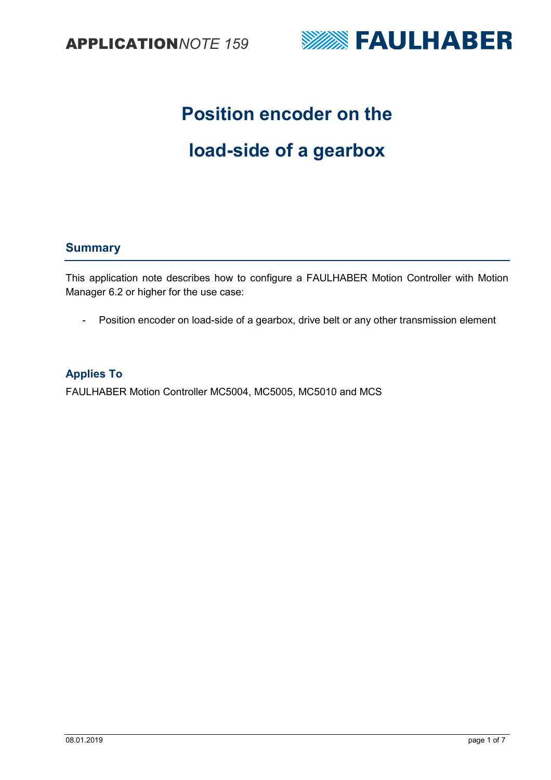



# **Position encoder on the**

# **load-side of a gearbox**

## **Summary**

This application note describes how to configure a FAULHABER Motion Controller with Motion Manager 6.2 or higher for the use case:

- Position encoder on load-side of a gearbox, drive belt or any other transmission element

## **Applies To**

FAULHABER Motion Controller MC5004, MC5005, MC5010 and MCS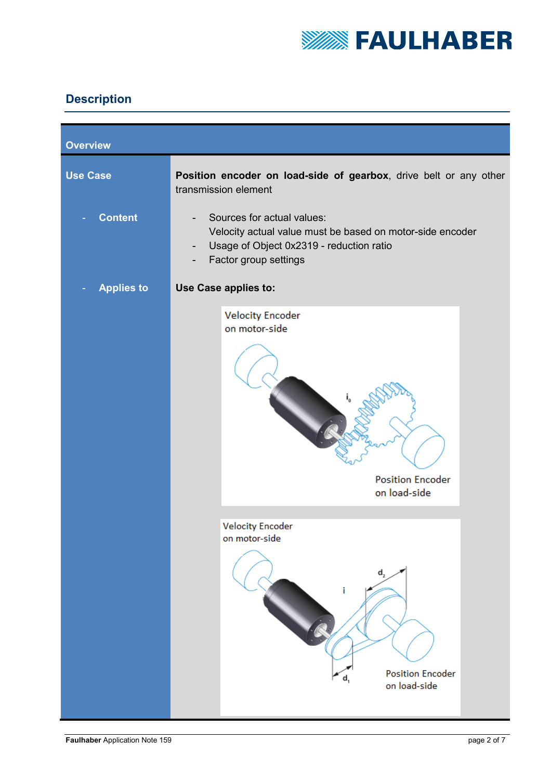

## **Description**

| <b>Overview</b>   |                                                                                                                                                                                                                      |  |  |  |  |
|-------------------|----------------------------------------------------------------------------------------------------------------------------------------------------------------------------------------------------------------------|--|--|--|--|
| <b>Use Case</b>   | Position encoder on load-side of gearbox, drive belt or any other<br>transmission element                                                                                                                            |  |  |  |  |
| <b>Content</b>    | Sources for actual values:<br>$\overline{\phantom{a}}$<br>Velocity actual value must be based on motor-side encoder<br>Usage of Object 0x2319 - reduction ratio<br>$\overline{\phantom{a}}$<br>Factor group settings |  |  |  |  |
| <b>Applies to</b> | Use Case applies to:                                                                                                                                                                                                 |  |  |  |  |
|                   | <b>Velocity Encoder</b><br>on motor-side<br><b>Position Encoder</b><br>on load-side                                                                                                                                  |  |  |  |  |
|                   | <b>Velocity Encoder</b><br>on motor-side<br>$d_{2}$<br><b>Position Encoder</b><br>on load-side                                                                                                                       |  |  |  |  |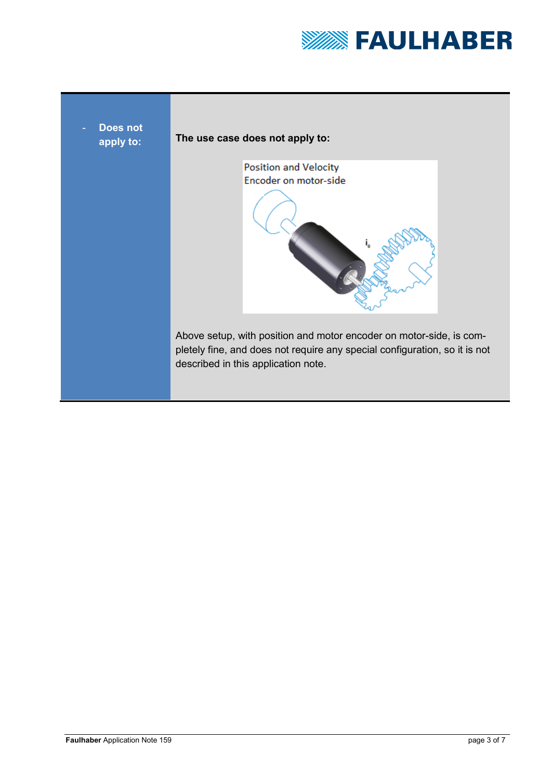

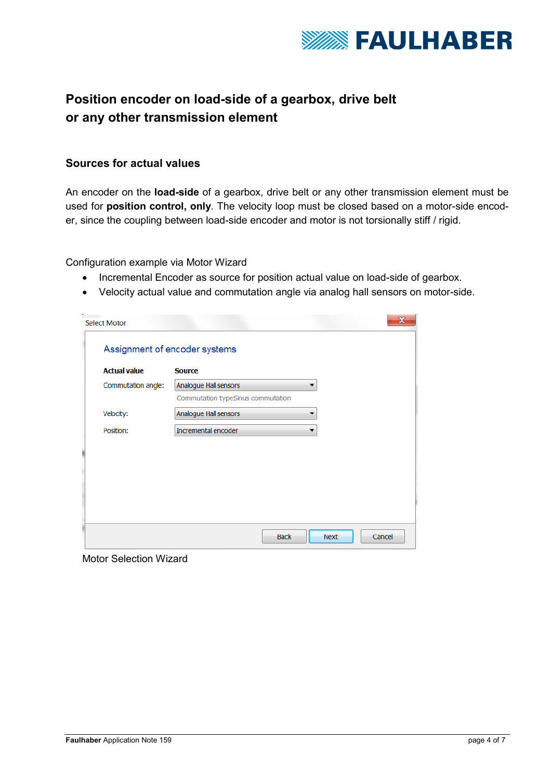

## **Position encoder on load-side of a gearbox, drive belt or any other transmission element**

## **Sources for actual values**

An encoder on the **load-side** of a gearbox, drive belt or any other transmission element must be used for **position control, only**. The velocity loop must be closed based on a motor-side encoder, since the coupling between load-side encoder and motor is not torsionally stiff / rigid.

Configuration example via Motor Wizard

- Incremental Encoder as source for position actual value on load-side of gearbox.
- Velocity actual value and commutation angle via analog hall sensors on motor-side.

| <b>Select Motor</b>           | $\mathbf x$                       |  |  |  |  |
|-------------------------------|-----------------------------------|--|--|--|--|
| Assignment of encoder systems |                                   |  |  |  |  |
| <b>Actual value</b>           | <b>Source</b>                     |  |  |  |  |
| Commutation angle:            | Analogue Hall sensors<br>▼        |  |  |  |  |
|                               | Commutation typeSinus commutation |  |  |  |  |
| Velocity:                     | Analogue Hall sensors             |  |  |  |  |
| Position:                     | Incremental encoder               |  |  |  |  |
|                               |                                   |  |  |  |  |
|                               |                                   |  |  |  |  |
|                               |                                   |  |  |  |  |
|                               |                                   |  |  |  |  |
|                               | <b>Back</b><br>Cancel<br>Next     |  |  |  |  |

Motor Selection Wizard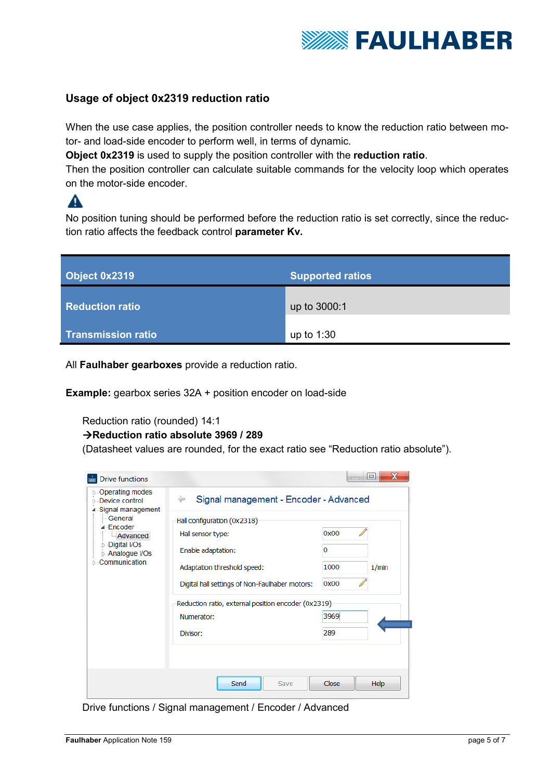

## **Usage of object 0x2319 reduction ratio**

When the use case applies, the position controller needs to know the reduction ratio between motor- and load-side encoder to perform well, in terms of dynamic.

**Object 0x2319** is used to supply the position controller with the **reduction ratio**.

Then the position controller can calculate suitable commands for the velocity loop which operates on the motor-side encoder.

No position tuning should be performed before the reduction ratio is set correctly, since the reduction ratio affects the feedback control **parameter Kv.** 

| Object 0x2319             | <b>Supported ratios</b> |  |
|---------------------------|-------------------------|--|
| <b>Reduction ratio</b>    | up to 3000:1            |  |
| <b>Transmission ratio</b> | up to $1:30$            |  |

All **Faulhaber gearboxes** provide a reduction ratio.

**Example:** gearbox series 32A + position encoder on load-side

Reduction ratio (rounded) 14:1

## **Reduction ratio absolute 3969 / 289**

(Datasheet values are rounded, for the exact ratio see "Reduction ratio absolute").



Drive functions / Signal management / Encoder / Advanced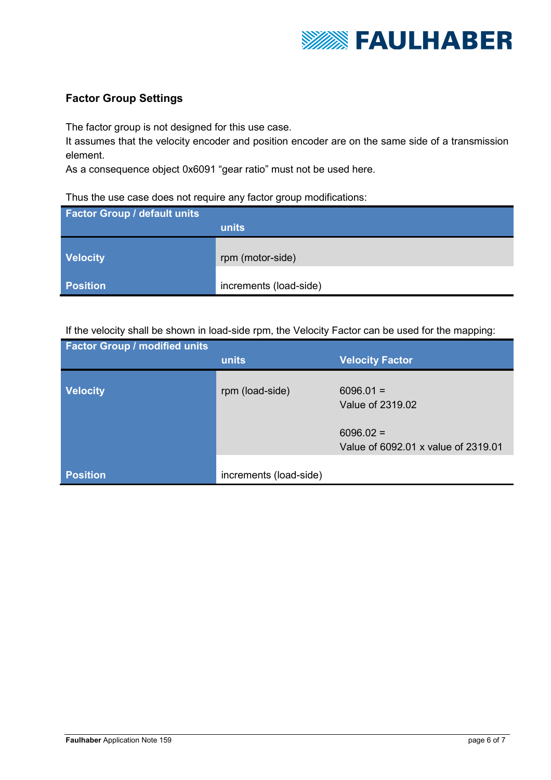

## **Factor Group Settings**

The factor group is not designed for this use case.

It assumes that the velocity encoder and position encoder are on the same side of a transmission element.

As a consequence object 0x6091 "gear ratio" must not be used here.

## Thus the use case does not require any factor group modifications:

| <b>Factor Group / default units</b> |                        |
|-------------------------------------|------------------------|
|                                     | units                  |
|                                     |                        |
| <b>Velocity</b>                     | rpm (motor-side)       |
| <b>Position</b>                     | increments (load-side) |

## If the velocity shall be shown in load-side rpm, the Velocity Factor can be used for the mapping:

| <b>Factor Group / modified units</b> | units                  | <b>Velocity Factor</b>                             |
|--------------------------------------|------------------------|----------------------------------------------------|
|                                      |                        |                                                    |
| <b>Velocity</b>                      | rpm (load-side)        | $6096.01 =$<br>Value of 2319.02                    |
|                                      |                        | $6096.02 =$<br>Value of 6092.01 x value of 2319.01 |
| <b>Position</b>                      | increments (load-side) |                                                    |